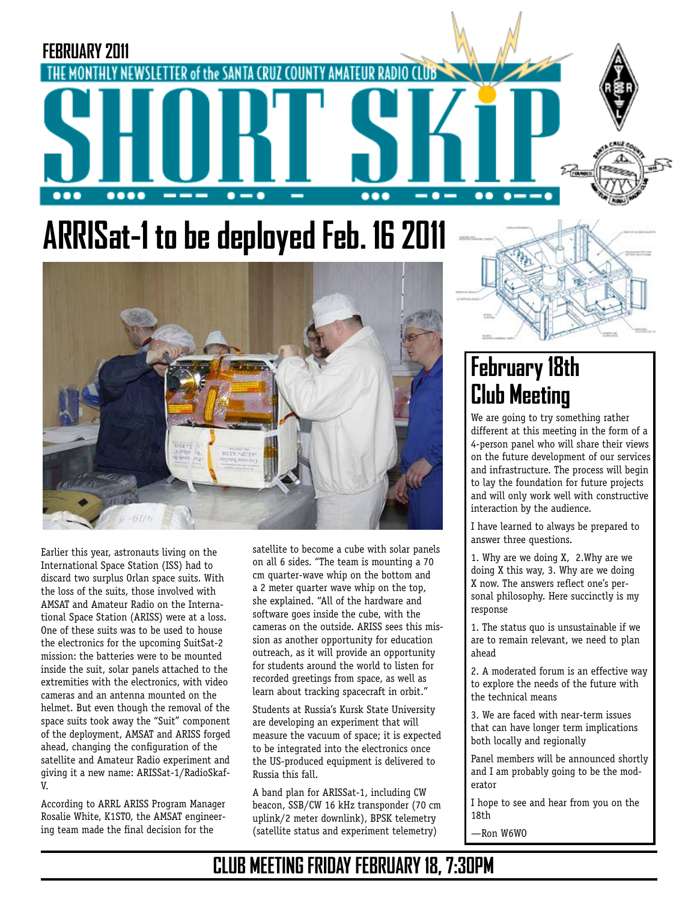

# **ARRISat-1 to be deployed Feb. 16 2011**



Earlier this year, astronauts living on the International Space Station (ISS) had to discard two surplus Orlan space suits. With the loss of the suits, those involved with AMSAT and Amateur Radio on the International Space Station (ARISS) were at a loss. One of these suits was to be used to house the electronics for the upcoming SuitSat-2 mission: the batteries were to be mounted inside the suit, solar panels attached to the extremities with the electronics, with video cameras and an antenna mounted on the helmet. But even though the removal of the space suits took away the "Suit" component of the deployment, AMSAT and ARISS forged ahead, changing the configuration of the satellite and Amateur Radio experiment and giving it a new name: ARISSat-1/RadioSkaf-V.

According to ARRL ARISS Program Manager Rosalie White, K1STO, the AMSAT engineering team made the final decision for the

satellite to become a cube with solar panels on all 6 sides. "The team is mounting a 70 cm quarter-wave whip on the bottom and a 2 meter quarter wave whip on the top, she explained. "All of the hardware and software goes inside the cube, with the cameras on the outside. ARISS sees this mission as another opportunity for education outreach, as it will provide an opportunity for students around the world to listen for recorded greetings from space, as well as learn about tracking spacecraft in orbit."

Students at Russia's Kursk State University are developing an experiment that will measure the vacuum of space; it is expected to be integrated into the electronics once the US-produced equipment is delivered to Russia this fall.

A band plan for ARISSat-1, including CW beacon, SSB/CW 16 kHz transponder (70 cm uplink/2 meter downlink), BPSK telemetry (satellite status and experiment telemetry)



# **February 18th Club Meeting**

We are going to try something rather different at this meeting in the form of a 4-person panel who will share their views on the future development of our services and infrastructure. The process will begin to lay the foundation for future projects and will only work well with constructive interaction by the audience.

I have learned to always be prepared to answer three questions.

1. Why are we doing X, 2.Why are we doing X this way, 3. Why are we doing X now. The answers reflect one's personal philosophy. Here succinctly is my response

1. The status quo is unsustainable if we are to remain relevant, we need to plan ahead

2. A moderated forum is an effective way to explore the needs of the future with the technical means

3. We are faced with near-term issues that can have longer term implications both locally and regionally

Panel members will be announced shortly and I am probably going to be the moderator

I hope to see and hear from you on the 18th

—Ron W6WO

# **CLUB MEETING FRIDAY FEBRUARY 18, 7:30PM**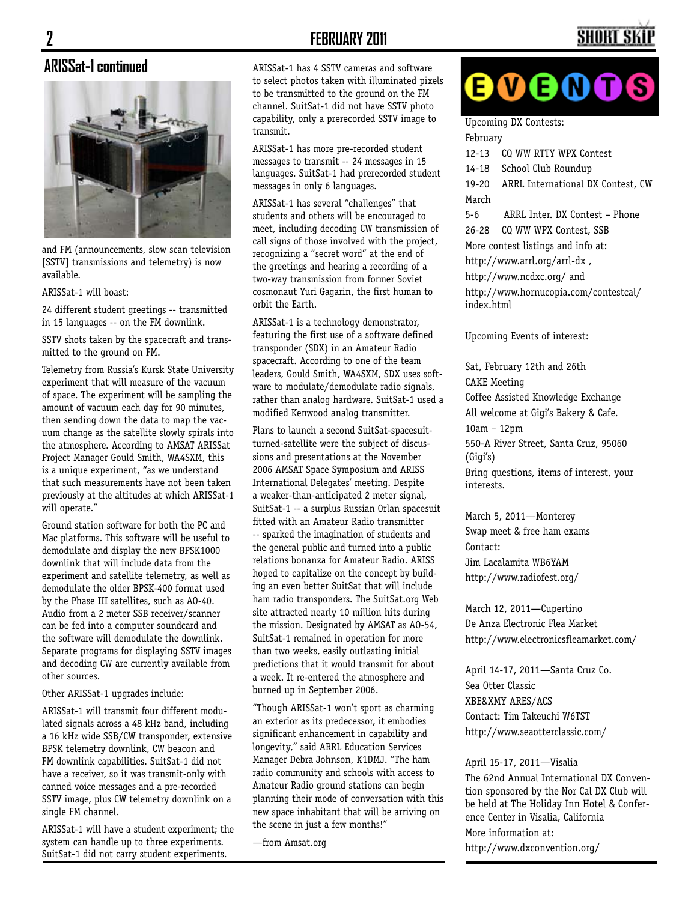#### **2 FEBRUARY 2011**

#### **ARISSat-1 continued**



and FM (announcements, slow scan television [SSTV] transmissions and telemetry) is now available.

ARISSat-1 will boast:

24 different student greetings -- transmitted in 15 languages -- on the FM downlink.

SSTV shots taken by the spacecraft and transmitted to the ground on FM.

Telemetry from Russia's Kursk State University experiment that will measure of the vacuum of space. The experiment will be sampling the amount of vacuum each day for 90 minutes, then sending down the data to map the vacuum change as the satellite slowly spirals into the atmosphere. According to AMSAT ARISSat Project Manager Gould Smith, WA4SXM, this is a unique experiment, "as we understand that such measurements have not been taken previously at the altitudes at which ARISSat-1 will operate."

Ground station software for both the PC and Mac platforms. This software will be useful to demodulate and display the new BPSK1000 downlink that will include data from the experiment and satellite telemetry, as well as demodulate the older BPSK-400 format used by the Phase III satellites, such as AO-40. Audio from a 2 meter SSB receiver/scanner can be fed into a computer soundcard and the software will demodulate the downlink. Separate programs for displaying SSTV images and decoding CW are currently available from other sources.

Other ARISSat-1 upgrades include:

ARISSat-1 will transmit four different modulated signals across a 48 kHz band, including a 16 kHz wide SSB/CW transponder, extensive BPSK telemetry downlink, CW beacon and FM downlink capabilities. SuitSat-1 did not have a receiver, so it was transmit-only with canned voice messages and a pre-recorded SSTV image, plus CW telemetry downlink on a single FM channel.

ARISSat-1 will have a student experiment; the system can handle up to three experiments. SuitSat-1 did not carry student experiments.

ARISSat-1 has 4 SSTV cameras and software to select photos taken with illuminated pixels to be transmitted to the ground on the FM channel. SuitSat-1 did not have SSTV photo capability, only a prerecorded SSTV image to transmit.

ARISSat-1 has more pre-recorded student messages to transmit -- 24 messages in 15 languages. SuitSat-1 had prerecorded student messages in only 6 languages.

ARISSat-1 has several "challenges" that students and others will be encouraged to meet, including decoding CW transmission of call signs of those involved with the project, recognizing a "secret word" at the end of the greetings and hearing a recording of a two-way transmission from former Soviet cosmonaut Yuri Gagarin, the first human to orbit the Earth.

ARISSat-1 is a technology demonstrator, featuring the first use of a software defined transponder (SDX) in an Amateur Radio spacecraft. According to one of the team leaders, Gould Smith, WA4SXM, SDX uses software to modulate/demodulate radio signals, rather than analog hardware. SuitSat-1 used a modified Kenwood analog transmitter.

Plans to launch a second SuitSat-spacesuitturned-satellite were the subject of discussions and presentations at the November 2006 AMSAT Space Symposium and ARISS International Delegates' meeting. Despite a weaker-than-anticipated 2 meter signal, SuitSat-1 -- a surplus Russian Orlan spacesuit fitted with an Amateur Radio transmitter -- sparked the imagination of students and the general public and turned into a public relations bonanza for Amateur Radio. ARISS hoped to capitalize on the concept by building an even better SuitSat that will include ham radio transponders. The SuitSat.org Web site attracted nearly 10 million hits during the mission. Designated by AMSAT as AO-54, SuitSat-1 remained in operation for more than two weeks, easily outlasting initial predictions that it would transmit for about a week. It re-entered the atmosphere and burned up in September 2006.

"Though ARISSat-1 won't sport as charming an exterior as its predecessor, it embodies significant enhancement in capability and longevity," said ARRL Education Services Manager Debra Johnson, K1DMJ. "The ham radio community and schools with access to Amateur Radio ground stations can begin planning their mode of conversation with this new space inhabitant that will be arriving on the scene in just a few months!"

—from Amsat.org

# ${\color{red}\mathbf{0}}{\color{green}\mathbf{0}}{\color{green}\mathbf{0}}{\color{green}\mathbf{0}}{\color{green}\mathbf{0}}$

SHORT S

Upcoming DX Contests: February

12-13 CQ WW RTTY WPX Contest 14-18 School Club Roundup 19-20 ARRL International DX Contest, CW March 5-6 ARRL Inter. DX Contest – Phone 26-28 CQ WW WPX Contest, SSB More contest listings and info at: http://www.arrl.org/arrl-dx , http://www.ncdxc.org/ and http://www.hornucopia.com/contestcal/ index.html

Upcoming Events of interest:

Sat, February 12th and 26th CAKE Meeting Coffee Assisted Knowledge Exchange All welcome at Gigi's Bakery & Cafe. 10am – 12pm 550-A River Street, Santa Cruz, 95060 (Gigi's) Bring questions, items of interest, your interests.

March 5, 2011—Monterey Swap meet & free ham exams Contact: Jim Lacalamita WB6YAM http://www.radiofest.org/

March 12, 2011—Cupertino De Anza Electronic Flea Market http://www.electronicsfleamarket.com/

April 14-17, 2011—Santa Cruz Co. Sea Otter Classic XBE&XMY ARES/ACS Contact: Tim Takeuchi W6TST http://www.seaotterclassic.com/

April 15-17, 2011—Visalia

The 62nd Annual International DX Convention sponsored by the Nor Cal DX Club will be held at The Holiday Inn Hotel & Conference Center in Visalia, California More information at: http://www.dxconvention.org/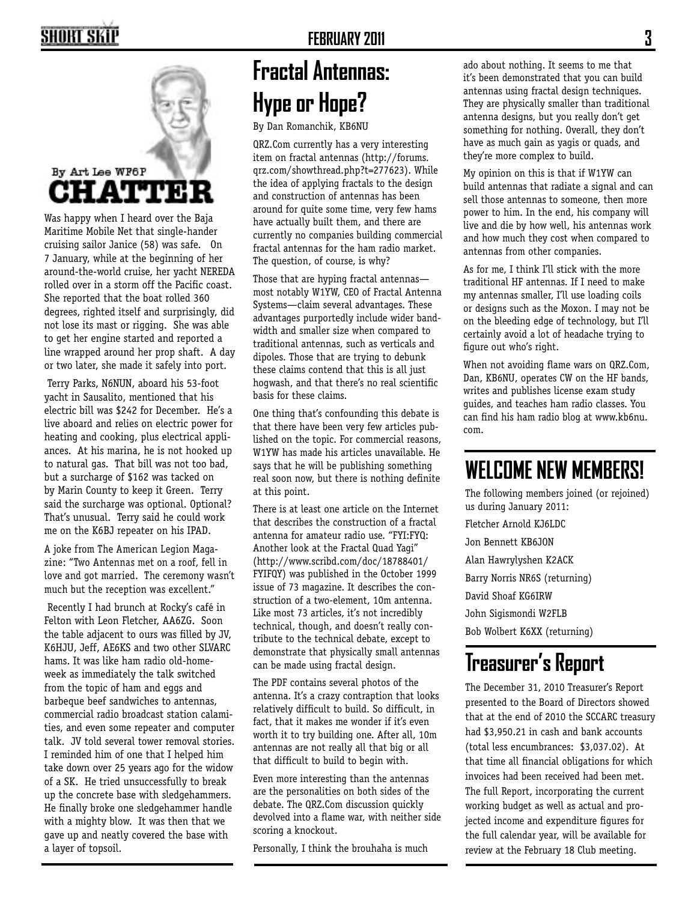# SHORT SKII



Was happy when I heard over the Baja Maritime Mobile Net that single-hander cruising sailor Janice (58) was safe. On 7 January, while at the beginning of her around-the-world cruise, her yacht NEREDA rolled over in a storm off the Pacific coast. She reported that the boat rolled 360 degrees, righted itself and surprisingly, did not lose its mast or rigging. She was able to get her engine started and reported a line wrapped around her prop shaft. A day or two later, she made it safely into port.

 Terry Parks, N6NUN, aboard his 53-foot yacht in Sausalito, mentioned that his electric bill was \$242 for December. He's a live aboard and relies on electric power for heating and cooking, plus electrical appliances. At his marina, he is not hooked up to natural gas. That bill was not too bad, but a surcharge of \$162 was tacked on by Marin County to keep it Green. Terry said the surcharge was optional. Optional? That's unusual. Terry said he could work me on the K6BJ repeater on his IPAD.

A joke from The American Legion Magazine: "Two Antennas met on a roof, fell in love and got married. The ceremony wasn't much but the reception was excellent."

 Recently I had brunch at Rocky's café in Felton with Leon Fletcher, AA6ZG. Soon the table adjacent to ours was filled by JV, K6HJU, Jeff, AE6KS and two other SLVARC hams. It was like ham radio old-homeweek as immediately the talk switched from the topic of ham and eggs and barbeque beef sandwiches to antennas, commercial radio broadcast station calamities, and even some repeater and computer talk. JV told several tower removal stories. I reminded him of one that I helped him take down over 25 years ago for the widow of a SK. He tried unsuccessfully to break up the concrete base with sledgehammers. He finally broke one sledgehammer handle with a mighty blow. It was then that we gave up and neatly covered the base with a layer of topsoil.

# **Fractal Antennas: Hype or Hope?**

By Dan Romanchik, KB6NU

QRZ.Com currently has a very interesting item on fractal antennas (http://forums. qrz.com/showthread.php?t=277623). While the idea of applying fractals to the design and construction of antennas has been around for quite some time, very few hams have actually built them, and there are currently no companies building commercial fractal antennas for the ham radio market. The question, of course, is why?

Those that are hyping fractal antennas most notably W1YW, CEO of Fractal Antenna Systems—claim several advantages. These advantages purportedly include wider bandwidth and smaller size when compared to traditional antennas, such as verticals and dipoles. Those that are trying to debunk these claims contend that this is all just hogwash, and that there's no real scientific basis for these claims.

One thing that's confounding this debate is that there have been very few articles published on the topic. For commercial reasons, W1YW has made his articles unavailable. He says that he will be publishing something real soon now, but there is nothing definite at this point.

There is at least one article on the Internet that describes the construction of a fractal antenna for amateur radio use. "FYI:FYQ: Another look at the Fractal Quad Yagi" (http://www.scribd.com/doc/18788401/ FYIFQY) was published in the October 1999 issue of 73 magazine. It describes the construction of a two-element, 10m antenna. Like most 73 articles, it's not incredibly technical, though, and doesn't really contribute to the technical debate, except to demonstrate that physically small antennas can be made using fractal design.

The PDF contains several photos of the antenna. It's a crazy contraption that looks relatively difficult to build. So difficult, in fact, that it makes me wonder if it's even worth it to try building one. After all, 10m antennas are not really all that big or all that difficult to build to begin with.

Even more interesting than the antennas are the personalities on both sides of the debate. The QRZ.Com discussion quickly devolved into a flame war, with neither side scoring a knockout.

Personally, I think the brouhaha is much

ado about nothing. It seems to me that it's been demonstrated that you can build antennas using fractal design techniques. They are physically smaller than traditional antenna designs, but you really don't get something for nothing. Overall, they don't have as much gain as yagis or quads, and they're more complex to build.

My opinion on this is that if W1YW can build antennas that radiate a signal and can sell those antennas to someone, then more power to him. In the end, his company will live and die by how well, his antennas work and how much they cost when compared to antennas from other companies.

As for me, I think I'll stick with the more traditional HF antennas. If I need to make my antennas smaller, I'll use loading coils or designs such as the Moxon. I may not be on the bleeding edge of technology, but I'll certainly avoid a lot of headache trying to figure out who's right.

When not avoiding flame wars on QRZ.Com, Dan, KB6NU, operates CW on the HF bands, writes and publishes license exam study guides, and teaches ham radio classes. You can find his ham radio blog at www.kb6nu. com.

# **WELCOME NEW MEMBERS!**

The following members joined (or rejoined) us during January 2011:

Fletcher Arnold KJ6LDC Jon Bennett KB6JON Alan Hawrylyshen K2ACK Barry Norris NR6S (returning) David Shoaf KG6IRW John Sigismondi W2FLB Bob Wolbert K6XX (returning)

# **Treasurer's Report**

The December 31, 2010 Treasurer's Report presented to the Board of Directors showed that at the end of 2010 the SCCARC treasury had \$3,950.21 in cash and bank accounts (total less encumbrances: \$3,037.02). At that time all financial obligations for which invoices had been received had been met. The full Report, incorporating the current working budget as well as actual and projected income and expenditure figures for the full calendar year, will be available for review at the February 18 Club meeting.